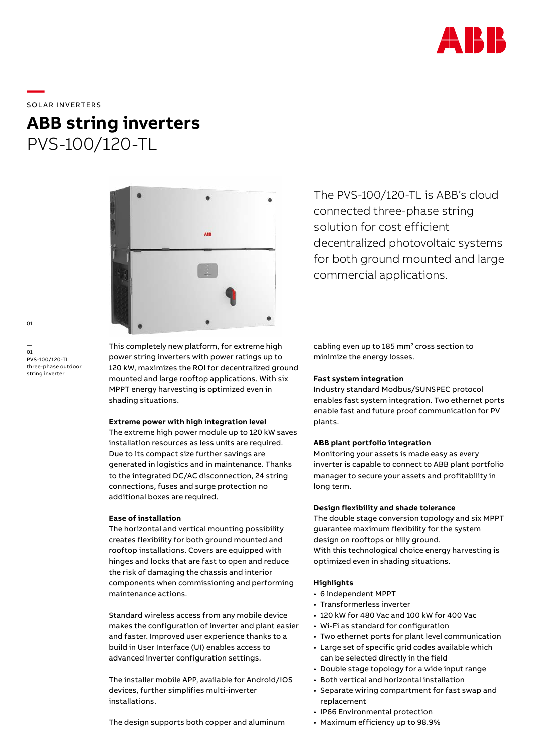

**—**  SOLAR INVERTERS

# **ABB string inverters** PVS-100/120-TL



This completely new platform, for extreme high power string inverters with power ratings up to 120 kW, maximizes the ROI for decentralized ground mounted and large rooftop applications. With six MPPT energy harvesting is optimized even in shading situations.

#### **Extreme power with high integration level**

The extreme high power module up to 120 kW saves installation resources as less units are required. Due to its compact size further savings are generated in logistics and in maintenance. Thanks to the integrated DC/AC disconnection, 24 string connections, fuses and surge protection no additional boxes are required.

## **Ease of installation**

The horizontal and vertical mounting possibility creates flexibility for both ground mounted and rooftop installations. Covers are equipped with hinges and locks that are fast to open and reduce the risk of damaging the chassis and interior components when commissioning and performing maintenance actions.

Standard wireless access from any mobile device makes the configuration of inverter and plant easier and faster. Improved user experience thanks to a build in User Interface (UI) enables access to advanced inverter configuration settings.

The installer mobile APP, available for Android/IOS devices, further simplifies multi-inverter installations.

The design supports both copper and aluminum

The PVS-100/120-TL is ABB's cloud connected three-phase string solution for cost efficient decentralized photovoltaic systems for both ground mounted and large commercial applications.

cabling even up to 185 mm<sup>2</sup> cross section to minimize the energy losses.

### **Fast system integration**

Industry standard Modbus/SUNSPEC protocol enables fast system integration. Two ethernet ports enable fast and future proof communication for PV plants.

### **ABB plant portfolio integration**

Monitoring your assets is made easy as every inverter is capable to connect to ABB plant portfolio manager to secure your assets and profitability in long term.

## **Design flexibility and shade tolerance**

The double stage conversion topology and six MPPT guarantee maximum flexibility for the system design on rooftops or hilly ground. With this technological choice energy harvesting is optimized even in shading situations.

## **Highlights**

- 6 independent MPPT
- Transformerless inverter
- 120 kW for 480 Vac and 100 kW for 400 Vac
- Wi-Fi as standard for configuration
- Two ethernet ports for plant level communication
- Large set of specific grid codes available which can be selected directly in the field
- Double stage topology for a wide input range
- Both vertical and horizontal installation
- Separate wiring compartment for fast swap and replacement
- IP66 Environmental protection
- Maximum efficiency up to 98.9%

 $01$ 

— 01 PVS-100/120-TL three-phase outdoor string inverter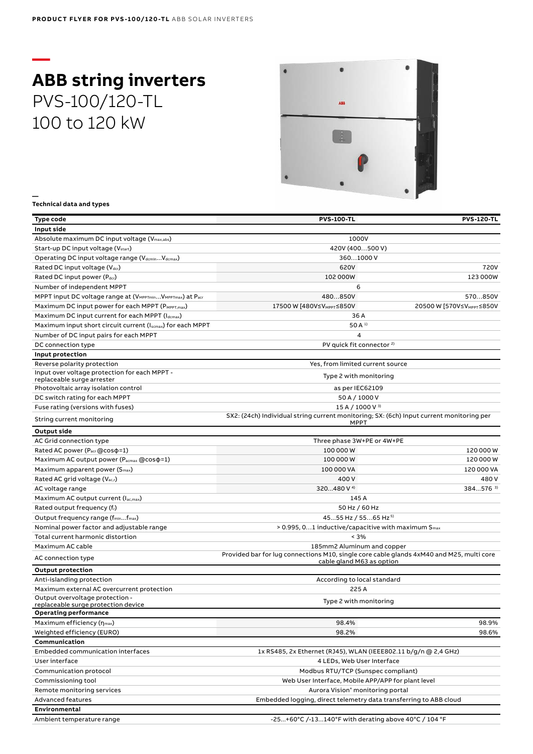# **— ABB string inverters** PVS-100/120-TL 100 to 120 kW



**— Technical data and types**

| Type code                                                      | <b>PVS-100-TL</b>                                                                                       | <b>PVS-120-TL</b>                     |
|----------------------------------------------------------------|---------------------------------------------------------------------------------------------------------|---------------------------------------|
| Input side                                                     |                                                                                                         |                                       |
| Absolute maximum DC input voltage (V <sub>max,abs</sub> )      | 1000V                                                                                                   |                                       |
| Start-up DC input voltage (V <sub>start</sub> )                | 420V (400500 V)                                                                                         |                                       |
| Operating DC input voltage range (VdcminVdcmax)                | 3601000 V                                                                                               |                                       |
| Rated DC input voltage (Vdcr)                                  | 620V                                                                                                    | 720V                                  |
| Rated DC input power (Pdcr)                                    | 102 000W                                                                                                | 123 000W                              |
| Number of independent MPPT                                     | 6                                                                                                       |                                       |
| MPPT input DC voltage range at (VMPPTminVMPPTmax) at Pacr      | 480850V                                                                                                 | 570850V                               |
| Maximum DC input power for each MPPT (PMPPT, max)              | 17500 W [480V≤V <sub>MPPT</sub> ≤850V                                                                   | 20500 W [570V≤V <sub>MPPT</sub> ≤850V |
| Maximum DC input current for each MPPT (Idcmax)                | 36 A                                                                                                    |                                       |
| Maximum input short circuit current (Iscmax) for each MPPT     | 50 A <sup>1</sup>                                                                                       |                                       |
| Number of DC input pairs for each MPPT                         | $\overline{4}$                                                                                          |                                       |
| DC connection type                                             | PV quick fit connector <sup>2)</sup>                                                                    |                                       |
| Input protection                                               |                                                                                                         |                                       |
| Reverse polarity protection                                    | Yes, from limited current source                                                                        |                                       |
| Input over voltage protection for each MPPT -                  |                                                                                                         |                                       |
| replaceable surge arrester                                     | Type 2 with monitoring                                                                                  |                                       |
| Photovoltaic array isolation control                           | as per IEC62109                                                                                         |                                       |
| DC switch rating for each MPPT                                 | 50 A / 1000 V                                                                                           |                                       |
| Fuse rating (versions with fuses)                              | 15 A / 1000 V 3)                                                                                        |                                       |
| String current monitoring                                      | SX2: (24ch) Individual string current monitoring; SX: (6ch) Input current monitoring per<br><b>MPPT</b> |                                       |
| Output side                                                    |                                                                                                         |                                       |
| AC Grid connection type                                        | Three phase 3W+PE or 4W+PE                                                                              |                                       |
| Rated AC power (Pacr @cos p=1)                                 | 100 000 W                                                                                               | 120 000 W                             |
| Maximum AC output power (P <sub>acmax</sub> @cos $\varphi$ =1) | 100 000 W                                                                                               | 120 000 W                             |
| Maximum apparent power (S <sub>max</sub> )                     | 100 000 VA                                                                                              | 120 000 VA                            |
| Rated AC grid voltage (V <sub>ac,r</sub> )                     | 400V                                                                                                    | 480V                                  |
| AC voltage range                                               | 320480 V <sup>4)</sup>                                                                                  | 384576 <sup>3)</sup>                  |
| Maximum AC output current (lac,max)                            | 145 A                                                                                                   |                                       |
| Rated output frequency (fr)                                    | 50 Hz / 60 Hz                                                                                           |                                       |
| Output frequency range (f <sub>min</sub> f <sub>max</sub> )    | 4555 Hz / 5565 Hz <sup>5)</sup>                                                                         |                                       |
| Nominal power factor and adjustable range                      | $> 0.995, 01$ inductive/capacitive with maximum $S_{\text{max}}$                                        |                                       |
| Total current harmonic distortion                              | < 3%                                                                                                    |                                       |
| Maximum AC cable                                               | 185mm2 Aluminum and copper                                                                              |                                       |
| AC connection type                                             | Provided bar for lug connections M10, single core cable glands 4xM40 and M25, multi core                |                                       |
| <b>Output protection</b>                                       | cable gland M63 as option                                                                               |                                       |
| Anti-islanding protection                                      | According to local standard                                                                             |                                       |
| Maximum external AC overcurrent protection                     | 225 A                                                                                                   |                                       |
| Output overvoltage protection -                                |                                                                                                         |                                       |
| replaceable surge protection device                            | Type 2 with monitoring                                                                                  |                                       |
| Operating performance                                          |                                                                                                         |                                       |
| Maximum efficiency $(\eta_{max})$                              | 98.4%                                                                                                   | 98.9%                                 |
| Weighted efficiency (EURO)                                     | 98.2%                                                                                                   | 98.6%                                 |
| Communication                                                  |                                                                                                         |                                       |
| Embedded communication interfaces                              | 1x RS485, 2x Ethernet (RJ45), WLAN (IEEE802.11 b/g/n @ 2,4 GHz)                                         |                                       |
| User interface                                                 | 4 LEDs, Web User Interface                                                                              |                                       |
| Communication protocol                                         | Modbus RTU/TCP (Sunspec compliant)                                                                      |                                       |
| Commissioning tool                                             | Web User Interface, Mobile APP/APP for plant level                                                      |                                       |
| Remote monitoring services                                     | Aurora Vision® monitoring portal                                                                        |                                       |
| <b>Advanced features</b>                                       | Embedded logging, direct telemetry data transferring to ABB cloud                                       |                                       |
| Environmental                                                  |                                                                                                         |                                       |
| Ambient temperature range                                      | -25+60°C /-13140°F with derating above 40°C / 104 °F                                                    |                                       |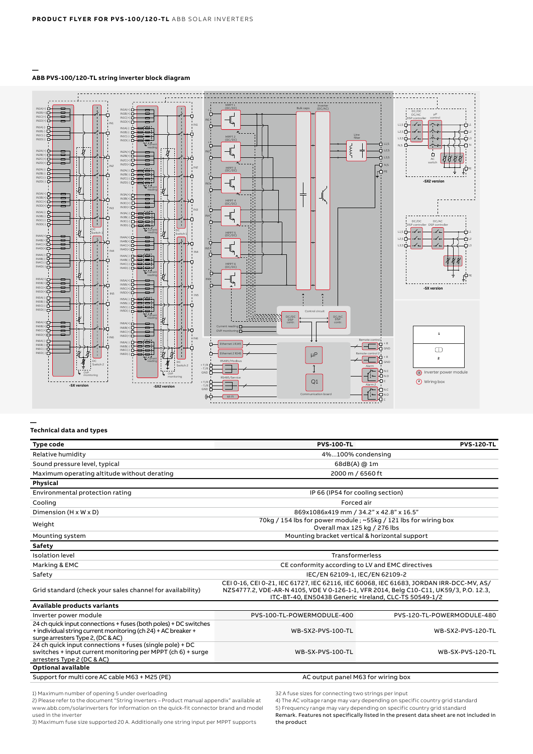#### **ABB PVS-100/120-TL string inverter block diagram**



**—**

**—**

#### **Technical data and types**

| Type code                                                                                                                                                              | <b>PVS-100-TL</b>                                                                                                                                                                                                                        | <b>PVS-120-TL</b>          |
|------------------------------------------------------------------------------------------------------------------------------------------------------------------------|------------------------------------------------------------------------------------------------------------------------------------------------------------------------------------------------------------------------------------------|----------------------------|
| Relative humidity                                                                                                                                                      | 4%100% condensing                                                                                                                                                                                                                        |                            |
| Sound pressure level, typical                                                                                                                                          | 68dB(A) @ 1m                                                                                                                                                                                                                             |                            |
| Maximum operating altitude without derating                                                                                                                            | 2000 m / 6560 ft                                                                                                                                                                                                                         |                            |
| Physical                                                                                                                                                               |                                                                                                                                                                                                                                          |                            |
| Environmental protection rating                                                                                                                                        | IP 66 (IP54 for cooling section)                                                                                                                                                                                                         |                            |
| Cooling                                                                                                                                                                | Forced air                                                                                                                                                                                                                               |                            |
| Dimension (H x W x D)                                                                                                                                                  | 869x1086x419 mm / 34.2" x 42.8" x 16.5"                                                                                                                                                                                                  |                            |
| Weight                                                                                                                                                                 | 70kg / 154 lbs for power module; ~55kg / 121 lbs for wiring box<br>Overall max 125 kg / 276 lbs                                                                                                                                          |                            |
| Mounting system                                                                                                                                                        | Mounting bracket vertical & horizontal support                                                                                                                                                                                           |                            |
| <b>Safety</b>                                                                                                                                                          |                                                                                                                                                                                                                                          |                            |
| <b>Isolation level</b>                                                                                                                                                 | <b>Transformerless</b>                                                                                                                                                                                                                   |                            |
| Marking & EMC                                                                                                                                                          | CE conformity according to LV and EMC directives                                                                                                                                                                                         |                            |
| Safety                                                                                                                                                                 | IEC/EN 62109-1, IEC/EN 62109-2                                                                                                                                                                                                           |                            |
| Grid standard (check your sales channel for availability)                                                                                                              | CEI 0-16, CEI 0-21, IEC 61727, IEC 62116, IEC 60068, IEC 61683, JORDAN IRR-DCC-MV, AS/<br>NZS4777.2, VDE-AR-N 4105, VDE V 0-126-1-1, VFR 2014, Belg C10-C11, UK59/3, P.O. 12.3,<br>ITC-BT-40, EN50438 Generic +Ireland, CLC-TS 50549-1/2 |                            |
| Available products variants                                                                                                                                            |                                                                                                                                                                                                                                          |                            |
| Inverter power module                                                                                                                                                  | PVS-100-TL-POWERMODULE-400                                                                                                                                                                                                               | PVS-120-TL-POWERMODULE-480 |
| 24 ch quick input connections + fuses (both poles) + DC switches<br>+ individual string current monitoring (ch 24) + AC breaker +<br>surge arresters Type 2, (DC & AC) | WB-SX2-PVS-100-TL                                                                                                                                                                                                                        | WB-SX2-PVS-120-TL          |
| 24 ch quick input connections + fuses (single pole) + DC<br>switches + input current monitoring per MPPT (ch 6) + surge<br>arresters Type 2 (DC & AC)                  | WB-SX-PVS-100-TL                                                                                                                                                                                                                         | WB-SX-PVS-120-TL           |
| Optional available                                                                                                                                                     |                                                                                                                                                                                                                                          |                            |
| Support for multi core AC cable M63 + M25 (PE)                                                                                                                         | AC output panel M63 for wiring box                                                                                                                                                                                                       |                            |

1) Maximum number of opening 5 under overloading 2) Please refer to the document "String inverters – Product manual appendix" available at www.abb.com/solarinverters for information on the quick-fit connector brand and model

used in the inverter 3) Maximum fuse size supported 20 A. Additionally one string input per MPPT supports

32 A fuse sizes for connecting two strings per input

4) The AC voltage range may vary depending on specific country grid standard

5) Frequency range may vary depending on specific country grid standard Remark. Features not specifically listed in the present data sheet are not included in the product